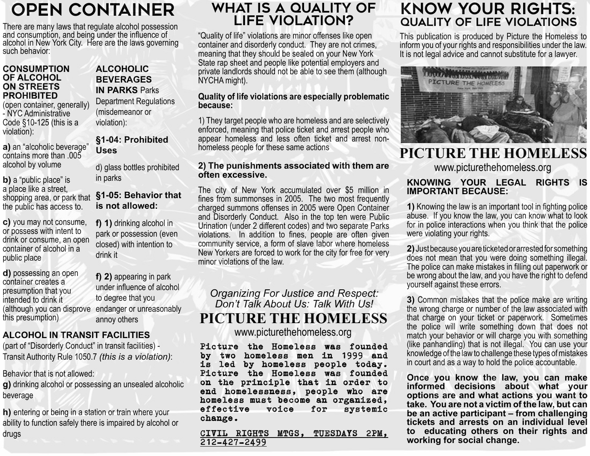# OPEN CONTAINER

There are many laws that regulate alcohol possession and consumption, and being under the influence of alcohol in New York City. Here are the laws governing such behavior:

#### **CONSUMPTION OF ALCOHOL ON STREETS PROHIBITED**

(open container, generally) - NYC Administrative Code §10-125 (this is a violation):

**a)** an "alcoholic beverage" contains more than .005 alcohol by volume

**b)** a "public place" is a place like a street, shopping area, or park that the public has access to.

**c)** you may not consume, or possess with intent to drink or consume, an open container of alcohol in a public place

**d)** possessing an open container creates a presumption that you intended to drink it this presumption)

### **ALCOHOLIC BEVERAGES IN PARKS** Parks

Department Regulations (misdemeanor or violation):

**§1-04: Prohibited Uses**

d) glass bottles prohibited in parks

### **§1-05: Behavior that is not allowed:**

**f) 1)** drinking alcohol in park or possession (even closed) with intention to drink it

(although you can disprove endanger or unreasonably **f) 2)** appearing in park under influence of alcohol to degree that you annoy others

## **ALCOHOL IN TRANSIT FACILITIES**

(part of "Disorderly Conduct" in transit facilities) - Transit Authority Rule 1050.7 *(this is a violation)*:

Behavior that is not allowed:

**g)** drinking alcohol or possessing an unsealed alcoholic beverage

**h)** entering or being in a station or train where your ability to function safely there is impaired by alcohol or drugs

## WHAT IS A QUALITY OF LIFE VIOLATION?

"Quality of life" violations are minor offenses like open container and disorderly conduct. They are not crimes, meaning that they should be sealed on your New York State rap sheet and people like potential employers and private landlords should not be able to see them (although NYCHA might).

#### **Quality of life violations are especially problematic because:**

1) They target people who are homeless and are selectively enforced, meaning that police ticket and arrest people who appear homeless and less often ticket and arrest nonhomeless people for these same actions

#### **2) The punishments associated with them are often excessive.**

The city of New York accumulated over \$5 million in fines from summonses in 2005. The two most frequently charged summons offenses in 2005 were Open Container and Disorderly Conduct. Also in the top ten were Public Urination (under 2 different codes) and two separate Parks violations. In addition to fines, people are often given community service, a form of slave labor where homeless New Yorkers are forced to work for the city for free for very minor violations of the law.

*Organizing For Justice and Respect: Don't Talk About Us: Talk With Us!* **PICTURE THE HOMELESS** www.picturethehomeless.org

Picture the Homeless was founded by two homeless men in 1999 and is led by homeless people today. Picture the Homeless was founded on the principle that in order to end homelessness, people who are homeless must become an organized, effective voice for systemic change.

CIVIL RIGHTS MTGS, TUESDAYS 2PM, 212-427-2499

## KNOW YOUR RIGHTS: QUALITY OF LIFE VIOLATIONS

This publication is produced by Picture the Homeless to inform you of your rights and responsibilities under the law. It is not legal advice and cannot substitute for a lawyer.



## **PICTURE THE HOMELESS**

www.picturethehomeless.org

#### **KNOWING YOUR LEGAL RIGHTS IS IMPORTANT BECAUSE:**

**1)** Knowing the law is an important tool in fighting police abuse. If you know the law, you can know what to look for in police interactions when you think that the police were violating your rights.

**2)** Just because you are ticketed or arrested for something does not mean that you were doing something illegal. The police can make mistakes in filling out paperwork or be wrong about the law, and you have the right to defend yourself against these errors.

**3)** Common mistakes that the police make are writing the wrong charge or number of the law associated with that charge on your ticket or paperwork. Sometimes the police will write something down that does not match your behavior or will charge you with something (like panhandling) that is not illegal. You can use your knowledge of the law to challenge these types of mistakes in court and as a way to hold the police accountable.

**Once you know the law, you can make informed decisions about what your options are and what actions you want to take. You are not a victim of the law, but can be an active participant – from challenging tickets and arrests on an individual level to educating others on their rights and working for social change.**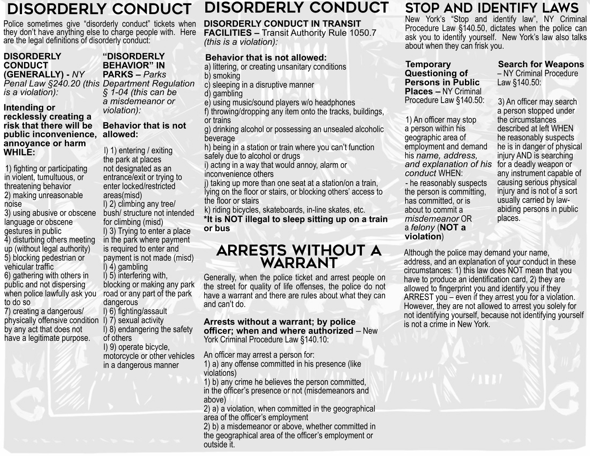#### DISORDERLY CONDUCT DISORDERLY CONDUCT

Police sometimes give "disorderly conduct" tickets when they don't have anything else to charge people with. Here are the legal definitions of disorderly conduct:

### **DISORDERLY CONDUCT (GENERALLY) -** *NY*

*is a violation):*

#### **Intending or recklessly creating a risk that there will be public inconvenience, allowed: annoyance or harm WHILE:**

1) fighting or participating in violent, tumultuous, or threatening behavior 2) making unreasonable noise

3) using abusive or obscene language or obscene gestures in public 4) disturbing others meeting up (without legal authority) 5) blocking pedestrian or vehicular traffic 6) gathering with others in public and not dispersing when police lawfully ask you

to do so 7) creating a dangerous/ physically offensive condition l) 7) sexual activity by any act that does not

have a legitimate purpose.

#### *Penal Law §240.20 (this Department Regulation*  **"DISORDERLY BEHAVIOR" IN PARKS –** *Parks § 1-04 (this can be*

*a misdemeanor or violation):*

# **Behavior that is not**

l) 1) entering / exiting the park at places not designated as an entrance/exit or trying to enter locked/restricted areas(misd) l) 2) climbing any tree/ bush/ structure not intended for climbing (misd) l) 3) Trying to enter a place in the park where payment is required to enter and payment is not made (misd) l) 4) gambling l) 5) interfering with, blocking or making any park road or any part of the park dangerous l) 6) fighting/assault

l) 8) endangering the safety of others

I) 9) operate bicycle, motorcycle or other vehicles in a dangerous manner

#### **DISORDERLY CONDUCT IN TRANSIT FACILITIES –** Transit Authority Rule 1050.7 *(this is a violation):*

### **Behavior that is not allowed:**

a) littering, or creating unsanitary conditions b) smoking

c) sleeping in a disruptive manner

d) gambling

e) using music/sound players w/o headphones

f) throwing/dropping any item onto the tracks, buildings, or trains

g) drinking alcohol or possessing an unsealed alcoholic beverage

h) being in a station or train where you can't function safely due to alcohol or drugs

i) acting in a way that would annoy, alarm or inconvenience others

j) taking up more than one seat at a station/on a train, lying on the floor or stairs, or blocking others' access to the floor or stairs

k) riding bicycles, skateboards, in-line skates, etc.

**\*It is NOT illegal to sleep sitting up on a train or bus**

## ARRESTS WITHOUT A WARRANT

Generally, when the police ticket and arrest people on the street for quality of life offenses, the police do not have a warrant and there are rules about what they can and can't do.

#### **Arrests without a warrant; by police officer; when and where authorized** – New York Criminal Procedure Law §140.10:

An officer may arrest a person for:

1) a) any offense committed in his presence (like violations)

1) b) any crime he believes the person committed, in the officer's presence or not (misdemeanors and above)

2) a) a violation, when committed in the geographical area of the officer's employment

2) b) a misdemeanor or above, whether committed in the geographical area of the officer's employment or outside it.

## STOP AND IDENTIFY LAWS

New York's "Stop and identify law", NY Criminal Procedure Law §140.50, dictates when the police can ask you to identify yourself. New York's law also talks about when they can frisk you.

**Temporary Questioning of Persons in Public Places –** NY Criminal Procedure Law §140.50:

1) An officer may stop a person within his geographic area of employment and demand his *name, address,* 

*conduct* WHEN: - he reasonably suspects the person is committing, has committed, or is about to commit a *misdemeanor* OR a *felony* (**NOT a violation**)

**Search for Weapons** – NY Criminal Procedure Law §140.50:

*and explanation of his*  for a deadly weapon or 3) An officer may search a person stopped under the circumstances described at left WHEN he reasonably suspects he is in danger of physical injury AND is searching any instrument capable of causing serious physical injury and is not of a sort usually carried by lawabiding persons in public places.

Although the police may demand your name, address, and an explanation of your conduct in these circumstances: 1) this law does NOT mean that you have to produce an identification card, 2) they are allowed to fingerprint you and identify you if they ARREST you – even if they arrest you for a violation. However, they are not allowed to arrest you solely for not identifying yourself, because not identifying yourself is not a crime in New York.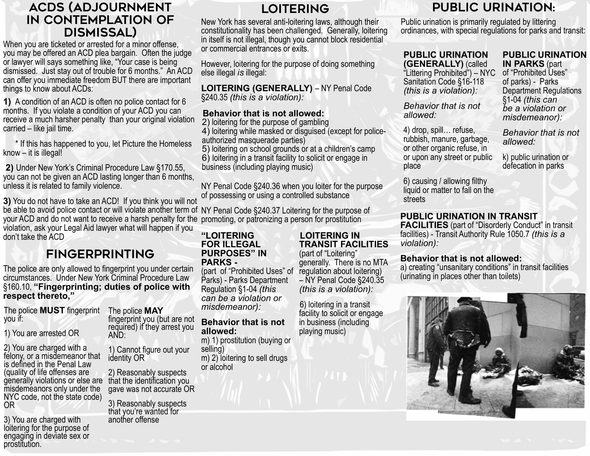## ACDS (ADJOURNMENT IN CONTEMPLATION OF DISMISSAL)

When you are ticketed or arrested for a minor offense, you may be offered an ACD plea bargain. Often the judge or lawyer will says something like, "Your case is being dismissed. Just stay out of trouble for 6 months." An ACD can offer you immediate freedom BUT there are important things to know about ACDs:

**1)** A condition of an ACD is often no police contact for 6 months. If you violate a condition of your ACD you can receive a much harsher penalty than your original violation carried – like jail time.

 \* If this has happened to you, let Picture the Homeless know – it is illegal!

 **2)** Under New York's Criminal Procedure Law §170.55, you can not be given an ACD lasting longer than 6 months, unless it is related to family violence.

**3)** You do not have to take an ACD! If you think you will not be able to avoid police contact or will violate another term of NY Penal Code §240.37 Loitering for the purpose of your ACD and do not want to receive a harsh penalty for the promoting, or patronizing a person for prostitution violation, ask your Legal Aid lawyer what will happen if you don't take the ACD

## FINGERPRINTING

The police are only allowed to fingerprint you under certain circumstances. Under New York Criminal Procedure Law §160.10, **"Fingerprinting; duties of police with respect thereto,"** 

AND:

identity OR

fingerprint you (but are not required) if they arrest you

1) Cannot figure out your

2) Reasonably suspects

3) Reasonably suspects that you're wanted for another offense

gave was not accurate OR

The police **MUST** fingerprint you if: The police **MAY**

1) You are arrested OR

2) You are charged with a felony, or a misdemeanor that is defined in the Penal Law (quality of life offenses are generally violations or else are that the identification you misdemeanors only under the NYC code, not the state code) OR

3) You are charged with loitering for the purpose of engaging in deviate sex or prostitution.

## LOITERING

New York has several anti-loitering laws, although their constitutionality has been challenged. Generally, loitering in itself is not illegal, though you cannot block residential or commercial entrances or exits.

However, loitering for the purpose of doing something else illegal *is* illegal:

**LOITERING (GENERALLY)** – NY Penal Code §240.35 *(this is a violation):*

### **Behavior that is not allowed:**

2) loitering for the purpose of gambling

4) loitering while masked or disguised (except for policeauthorized masquerade parties)

5) loitering on school grounds or at a children's camp 6) loitering in a transit facility to solicit or engage in business (including playing music)

NY Penal Code §240.36 when you loiter for the purpose of possessing or using a controlled substance

#### **"LOITERING FOR ILLEGAL PURPOSES" IN PARKS -**

(part of "Prohibited Uses" of Parks) - Parks Department Regulation §1-04 *(this can be a violation or misdemeanor):*

### **Behavior that is not allowed:**

m) 1) prostitution (buying or selling) m) 2) loitering to sell drugs or alcohol

### **LOITERING IN TRANSIT FACILITIES**

(part of "Loitering" generally. There is no MTA regulation about loitering) – NY Penal Code §240.35 *(this is a violation):*

6) loitering in a transit facility to solicit or engage in business (including playing music)

## PUBLIC URINATION:

Public urination is primarily regulated by littering ordinances, with special regulations for parks and transit:

#### **PUBLIC URINATION (GENERALLY)** (called

"Littering Prohibited") – NYC Sanitation Code §16-118 *(this is a violation):*

*Behavior that is not* 

4) drop, spill… refuse, rubbish, manure, garbage, or other organic refuse, in or upon any street or public

*allowed:*

place

#### **PUBLIC URINATION IN PARKS** (part

of "Prohibited Uses" of parks) - Parks Department Regulations §1-04 *(this can be a violation or misdemeanor):*

*Behavior that is not allowed:*

k) public urination or defecation in parks

6) causing / allowing filthy liquid or matter to fall on the streets

### **PUBLIC URINATION IN TRANSIT**

**FACILITIES** (part of "Disorderly Conduct" in transit facilities) - Transit Authority Rule 1050.7 *(this is a violation):*

### **Behavior that is not allowed:**

a) creating "unsanitary conditions" in transit facilities (urinating in places other than toilets)